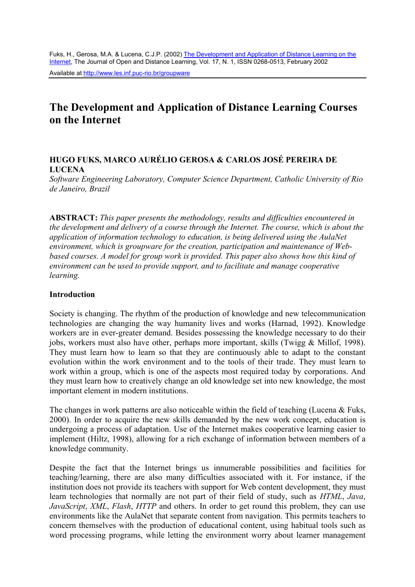Fuks, H., Gerosa, M.A. & Lucena, C.J.P. (2002) The Development and Application of Distance Learning on the [Internet](http://139.82.35.97/groupware/publicacoes/openlearning.pdf), The Journal of Open and Distance Learning, Vol. 17, N. 1, ISSN 0268-0513, February 2002

Available at <http://www.les.inf.puc-rio.br/groupware>

# **The Development and Application of Distance Learning Courses on the Internet**

#### **HUGO FUKS, MARCO AURÉLIO GEROSA & CARLOS JOSÉ PEREIRA DE LUCENA**

*Software Engineering Laboratory, Computer Science Department, Catholic University of Rio de Janeiro, Brazil* 

**ABSTRACT:** *This paper presents the methodology, results and difficulties encountered in the development and delivery of a course through the Internet. The course, which is about the application of information technology to education, is being delivered using the AulaNet environment, which is groupware for the creation, participation and maintenance of Webbased courses. A model for group work is provided. This paper also shows how this kind of environment can be used to provide support, and to facilitate and manage cooperative learning.* 

#### **Introduction**

Society is changing. The rhythm of the production of knowledge and new telecommunication technologies are changing the way humanity lives and works (Harnad, 1992). Knowledge workers are in ever-greater demand. Besides possessing the knowledge necessary to do their jobs, workers must also have other, perhaps more important, skills (Twigg & Millof, 1998). They must learn how to learn so that they are continuously able to adapt to the constant evolution within the work environment and to the tools of their trade. They must learn to work within a group, which is one of the aspects most required today by corporations. And they must learn how to creatively change an old knowledge set into new knowledge, the most important element in modern institutions.

The changes in work patterns are also noticeable within the field of teaching (Lucena & Fuks, 2000). In order to acquire the new skills demanded by the new work concept, education is undergoing a process of adaptation. Use of the Internet makes cooperative learning easier to implement (Hiltz, 1998), allowing for a rich exchange of information between members of a knowledge community.

Despite the fact that the Internet brings us innumerable possibilities and facilities for teaching/learning, there are also many difficulties associated with it. For instance, if the institution does not provide its teachers with support for Web content development, they must learn technologies that normally are not part of their field of study, such as *HTML*, *Java*, *JavaScript*, *XML*, *Flash*, *HTTP* and others. In order to get round this problem, they can use environments like the AulaNet that separate content from navigation. This permits teachers to concern themselves with the production of educational content, using habitual tools such as word processing programs, while letting the environment worry about learner management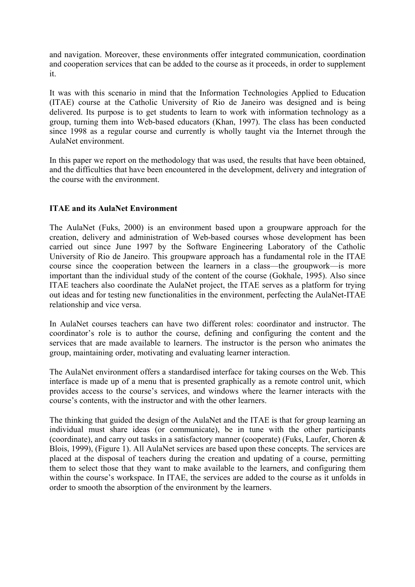and navigation. Moreover, these environments offer integrated communication, coordination and cooperation services that can be added to the course as it proceeds, in order to supplement it.

It was with this scenario in mind that the Information Technologies Applied to Education (ITAE) course at the Catholic University of Rio de Janeiro was designed and is being delivered. Its purpose is to get students to learn to work with information technology as a group, turning them into Web-based educators (Khan, 1997). The class has been conducted since 1998 as a regular course and currently is wholly taught via the Internet through the AulaNet environment.

In this paper we report on the methodology that was used, the results that have been obtained, and the difficulties that have been encountered in the development, delivery and integration of the course with the environment.

# **ITAE and its AulaNet Environment**

The AulaNet (Fuks, 2000) is an environment based upon a groupware approach for the creation, delivery and administration of Web-based courses whose development has been carried out since June 1997 by the Software Engineering Laboratory of the Catholic University of Rio de Janeiro. This groupware approach has a fundamental role in the ITAE course since the cooperation between the learners in a class—the groupwork—is more important than the individual study of the content of the course (Gokhale, 1995). Also since ITAE teachers also coordinate the AulaNet project, the ITAE serves as a platform for trying out ideas and for testing new functionalities in the environment, perfecting the AulaNet-ITAE relationship and vice versa.

In AulaNet courses teachers can have two different roles: coordinator and instructor. The coordinator's role is to author the course, defining and configuring the content and the services that are made available to learners. The instructor is the person who animates the group, maintaining order, motivating and evaluating learner interaction.

The AulaNet environment offers a standardised interface for taking courses on the Web. This interface is made up of a menu that is presented graphically as a remote control unit, which provides access to the course's services, and windows where the learner interacts with the course's contents, with the instructor and with the other learners.

The thinking that guided the design of the AulaNet and the ITAE is that for group learning an individual must share ideas (or communicate), be in tune with the other participants (coordinate), and carry out tasks in a satisfactory manner (cooperate) (Fuks, Laufer, Choren & Blois, 1999), (Figure 1). All AulaNet services are based upon these concepts. The services are placed at the disposal of teachers during the creation and updating of a course, permitting them to select those that they want to make available to the learners, and configuring them within the course's workspace. In ITAE, the services are added to the course as it unfolds in order to smooth the absorption of the environment by the learners.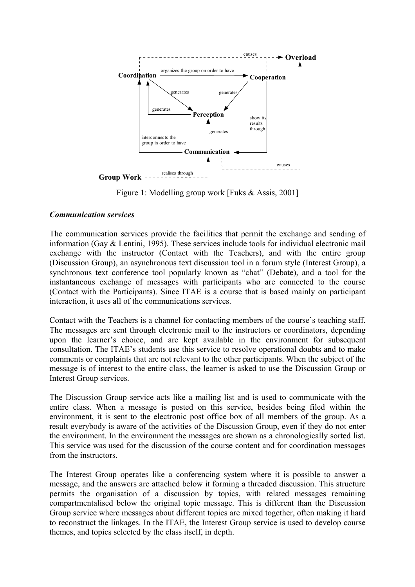

Figure 1: Modelling group work [Fuks & Assis, 2001]

# *Communication services*

The communication services provide the facilities that permit the exchange and sending of information (Gay & Lentini, 1995). These services include tools for individual electronic mail exchange with the instructor (Contact with the Teachers), and with the entire group (Discussion Group), an asynchronous text discussion tool in a forum style (Interest Group), a synchronous text conference tool popularly known as "chat" (Debate), and a tool for the instantaneous exchange of messages with participants who are connected to the course (Contact with the Participants). Since ITAE is a course that is based mainly on participant interaction, it uses all of the communications services.

Contact with the Teachers is a channel for contacting members of the course's teaching staff. The messages are sent through electronic mail to the instructors or coordinators, depending upon the learner's choice, and are kept available in the environment for subsequent consultation. The ITAE's students use this service to resolve operational doubts and to make comments or complaints that are not relevant to the other participants. When the subject of the message is of interest to the entire class, the learner is asked to use the Discussion Group or Interest Group services.

The Discussion Group service acts like a mailing list and is used to communicate with the entire class. When a message is posted on this service, besides being filed within the environment, it is sent to the electronic post office box of all members of the group. As a result everybody is aware of the activities of the Discussion Group, even if they do not enter the environment. In the environment the messages are shown as a chronologically sorted list. This service was used for the discussion of the course content and for coordination messages from the instructors.

The Interest Group operates like a conferencing system where it is possible to answer a message, and the answers are attached below it forming a threaded discussion. This structure permits the organisation of a discussion by topics, with related messages remaining compartmentalised below the original topic message. This is different than the Discussion Group service where messages about different topics are mixed together, often making it hard to reconstruct the linkages. In the ITAE, the Interest Group service is used to develop course themes, and topics selected by the class itself, in depth.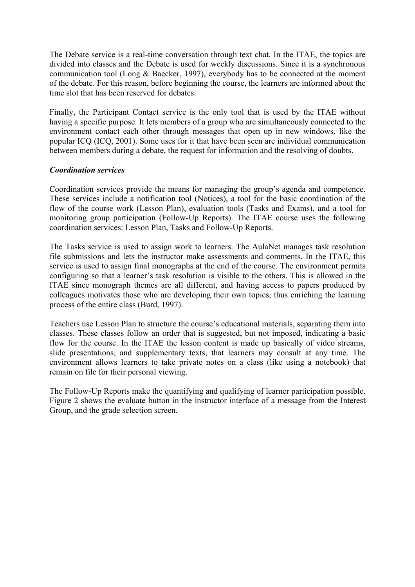The Debate service is a real-time conversation through text chat. In the ITAE, the topics are divided into classes and the Debate is used for weekly discussions. Since it is a synchronous communication tool (Long & Baecker, 1997), everybody has to be connected at the moment of the debate. For this reason, before beginning the course, the learners are informed about the time slot that has been reserved for debates.

Finally, the Participant Contact service is the only tool that is used by the ITAE without having a specific purpose. It lets members of a group who are simultaneously connected to the environment contact each other through messages that open up in new windows, like the popular ICQ (ICQ, 2001). Some uses for it that have been seen are individual communication between members during a debate, the request for information and the resolving of doubts.

# *Coordination services*

Coordination services provide the means for managing the group's agenda and competence. These services include a notification tool (Notices), a tool for the basic coordination of the flow of the course work (Lesson Plan), evaluation tools (Tasks and Exams), and a tool for monitoring group participation (Follow-Up Reports). The ITAE course uses the following coordination services: Lesson Plan, Tasks and Follow-Up Reports.

The Tasks service is used to assign work to learners. The AulaNet manages task resolution file submissions and lets the instructor make assessments and comments. In the ITAE, this service is used to assign final monographs at the end of the course. The environment permits configuring so that a learner's task resolution is visible to the others. This is allowed in the ITAE since monograph themes are all different, and having access to papers produced by colleagues motivates those who are developing their own topics, thus enriching the learning process of the entire class (Burd, 1997).

Teachers use Lesson Plan to structure the course's educational materials, separating them into classes. These classes follow an order that is suggested, but not imposed, indicating a basic flow for the course. In the ITAE the lesson content is made up basically of video streams, slide presentations, and supplementary texts, that learners may consult at any time. The environment allows learners to take private notes on a class (like using a notebook) that remain on file for their personal viewing.

The Follow-Up Reports make the quantifying and qualifying of learner participation possible. Figure 2 shows the evaluate button in the instructor interface of a message from the Interest Group, and the grade selection screen.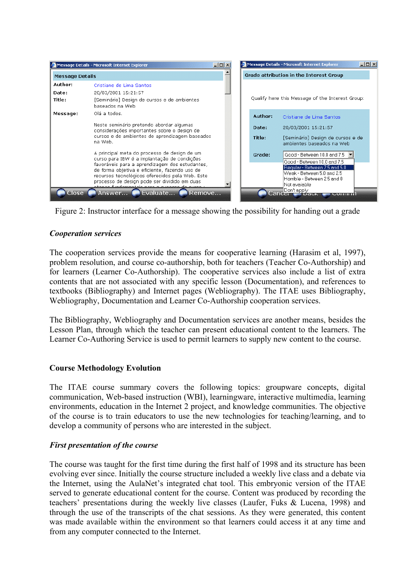

Figure 2: Instructor interface for a message showing the possibility for handing out a grade

# *Cooperation services*

The cooperation services provide the means for cooperative learning (Harasim et al, 1997), problem resolution, and course co-authorship, both for teachers (Teacher Co-Authorship) and for learners (Learner Co-Authorship). The cooperative services also include a list of extra contents that are not associated with any specific lesson (Documentation), and references to textbooks (Bibliography) and Internet pages (Webliography). The ITAE uses Bibliography, Webliography, Documentation and Learner Co-Authorship cooperation services.

The Bibliography, Webliography and Documentation services are another means, besides the Lesson Plan, through which the teacher can present educational content to the learners. The Learner Co-Authoring Service is used to permit learners to supply new content to the course.

# **Course Methodology Evolution**

The ITAE course summary covers the following topics: groupware concepts, digital communication, Web-based instruction (WBI), learningware, interactive multimedia, learning environments, education in the Internet 2 project, and knowledge communities. The objective of the course is to train educators to use the new technologies for teaching/learning, and to develop a community of persons who are interested in the subject.

# *First presentation of the course*

The course was taught for the first time during the first half of 1998 and its structure has been evolving ever since. Initially the course structure included a weekly live class and a debate via the Internet, using the AulaNet's integrated chat tool. This embryonic version of the ITAE served to generate educational content for the course. Content was produced by recording the teachers' presentations during the weekly live classes (Laufer, Fuks & Lucena, 1998) and through the use of the transcripts of the chat sessions. As they were generated, this content was made available within the environment so that learners could access it at any time and from any computer connected to the Internet.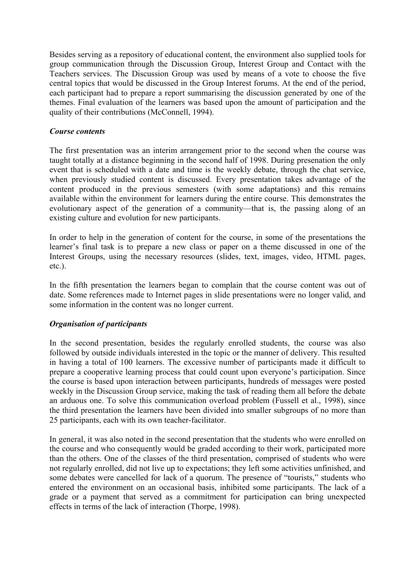Besides serving as a repository of educational content, the environment also supplied tools for group communication through the Discussion Group, Interest Group and Contact with the Teachers services. The Discussion Group was used by means of a vote to choose the five central topics that would be discussed in the Group Interest forums. At the end of the period, each participant had to prepare a report summarising the discussion generated by one of the themes. Final evaluation of the learners was based upon the amount of participation and the quality of their contributions (McConnell, 1994).

### *Course contents*

The first presentation was an interim arrangement prior to the second when the course was taught totally at a distance beginning in the second half of 1998. During presenation the only event that is scheduled with a date and time is the weekly debate, through the chat service, when previously studied content is discussed. Every presentation takes advantage of the content produced in the previous semesters (with some adaptations) and this remains available within the environment for learners during the entire course. This demonstrates the evolutionary aspect of the generation of a community—that is, the passing along of an existing culture and evolution for new participants.

In order to help in the generation of content for the course, in some of the presentations the learner's final task is to prepare a new class or paper on a theme discussed in one of the Interest Groups, using the necessary resources (slides, text, images, video, HTML pages, etc.).

In the fifth presentation the learners began to complain that the course content was out of date. Some references made to Internet pages in slide presentations were no longer valid, and some information in the content was no longer current.

# *Organisation of participants*

In the second presentation, besides the regularly enrolled students, the course was also followed by outside individuals interested in the topic or the manner of delivery. This resulted in having a total of 100 learners. The excessive number of participants made it difficult to prepare a cooperative learning process that could count upon everyone's participation. Since the course is based upon interaction between participants, hundreds of messages were posted weekly in the Discussion Group service, making the task of reading them all before the debate an arduous one. To solve this communication overload problem (Fussell et al., 1998), since the third presentation the learners have been divided into smaller subgroups of no more than 25 participants, each with its own teacher-facilitator.

In general, it was also noted in the second presentation that the students who were enrolled on the course and who consequently would be graded according to their work, participated more than the others. One of the classes of the third presentation, comprised of students who were not regularly enrolled, did not live up to expectations; they left some activities unfinished, and some debates were cancelled for lack of a quorum. The presence of "tourists," students who entered the environment on an occasional basis, inhibited some participants. The lack of a grade or a payment that served as a commitment for participation can bring unexpected effects in terms of the lack of interaction (Thorpe, 1998).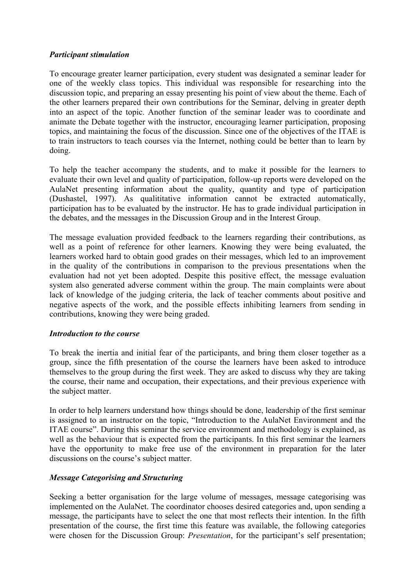### *Participant stimulation*

To encourage greater learner participation, every student was designated a seminar leader for one of the weekly class topics. This individual was responsible for researching into the discussion topic, and preparing an essay presenting his point of view about the theme. Each of the other learners prepared their own contributions for the Seminar, delving in greater depth into an aspect of the topic. Another function of the seminar leader was to coordinate and animate the Debate together with the instructor, encouraging learner participation, proposing topics, and maintaining the focus of the discussion. Since one of the objectives of the ITAE is to train instructors to teach courses via the Internet, nothing could be better than to learn by doing.

To help the teacher accompany the students, and to make it possible for the learners to evaluate their own level and quality of participation, follow-up reports were developed on the AulaNet presenting information about the quality, quantity and type of participation (Dushastel, 1997). As qualititative information cannot be extracted automatically, participation has to be evaluated by the instructor. He has to grade individual participation in the debates, and the messages in the Discussion Group and in the Interest Group.

The message evaluation provided feedback to the learners regarding their contributions, as well as a point of reference for other learners. Knowing they were being evaluated, the learners worked hard to obtain good grades on their messages, which led to an improvement in the quality of the contributions in comparison to the previous presentations when the evaluation had not yet been adopted. Despite this positive effect, the message evaluation system also generated adverse comment within the group. The main complaints were about lack of knowledge of the judging criteria, the lack of teacher comments about positive and negative aspects of the work, and the possible effects inhibiting learners from sending in contributions, knowing they were being graded.

#### *Introduction to the course*

To break the inertia and initial fear of the participants, and bring them closer together as a group, since the fifth presentation of the course the learners have been asked to introduce themselves to the group during the first week. They are asked to discuss why they are taking the course, their name and occupation, their expectations, and their previous experience with the subject matter.

In order to help learners understand how things should be done, leadership of the first seminar is assigned to an instructor on the topic, "Introduction to the AulaNet Environment and the ITAE course". During this seminar the service environment and methodology is explained, as well as the behaviour that is expected from the participants. In this first seminar the learners have the opportunity to make free use of the environment in preparation for the later discussions on the course's subject matter.

# *Message Categorising and Structuring*

Seeking a better organisation for the large volume of messages, message categorising was implemented on the AulaNet. The coordinator chooses desired categories and, upon sending a message, the participants have to select the one that most reflects their intention. In the fifth presentation of the course, the first time this feature was available, the following categories were chosen for the Discussion Group: *Presentation*, for the participant's self presentation;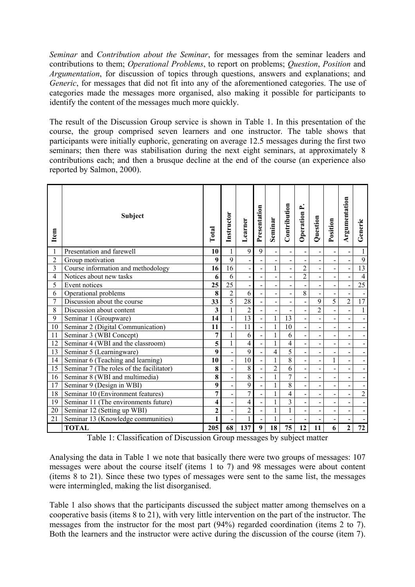*Seminar* and *Contribution about the Seminar*, for messages from the seminar leaders and contributions to them; *Operational Problems*, to report on problems; *Question*, *Position* and *Argumentation*, for discussion of topics through questions, answers and explanations; and *Generic*, for messages that did not fit into any of the aforementioned categories. The use of categories made the messages more organised, also making it possible for participants to identify the content of the messages much more quickly.

The result of the Discussion Group service is shown in Table 1. In this presentation of the course, the group comprised seven learners and one instructor. The table shows that participants were initially euphoric, generating on average 12.5 messages during the first two seminars; then there was stabilisation during the next eight seminars, at approximately 8 contributions each; and then a brusque decline at the end of the course (an experience also reported by Salmon, 2000).

| Item           | <b>Subject</b>                           | Total          | Instructor               | Learner                      | Presentation   | Seminar                      | Contribution                 | L.<br>Operation          | Question                 | Position       | Argumentation                | Generic                      |
|----------------|------------------------------------------|----------------|--------------------------|------------------------------|----------------|------------------------------|------------------------------|--------------------------|--------------------------|----------------|------------------------------|------------------------------|
|                | Presentation and farewell                | 10             | 1                        | 9                            | 9              | $\qquad \qquad \blacksquare$ | $\qquad \qquad \blacksquare$ | -                        | -                        | -              | $\overline{\phantom{0}}$     | $\mathbf{1}$                 |
| $\overline{2}$ | Group motivation                         | 9              | $\overline{9}$           |                              |                |                              |                              |                          |                          |                |                              | 9                            |
| $\mathfrak{Z}$ | Course information and methodology       | 16             | 16                       |                              |                | 1                            |                              | $\overline{2}$           |                          |                | $\overline{\phantom{0}}$     | $\overline{13}$              |
| $\overline{4}$ | Notices about new tasks                  | 6              | 6                        |                              |                |                              |                              | $\overline{2}$           |                          |                | $\overline{a}$               | $\overline{4}$               |
| 5              | Event notices                            | 25             | 25                       | $\qquad \qquad \blacksquare$ |                | $\overline{a}$               |                              | $\overline{\phantom{0}}$ |                          | $\overline{a}$ | $\qquad \qquad \blacksquare$ | 25                           |
| 6              | Operational problems                     | 8              | $\overline{2}$           | 6                            |                |                              |                              | 8                        |                          |                | $\overline{\phantom{a}}$     | $\qquad \qquad \blacksquare$ |
| 7              | Discussion about the course              | 33             | $\overline{5}$           | $\overline{28}$              |                | $\overline{a}$               |                              | $\overline{a}$           | 9                        | 5              | 2                            | 17                           |
| $8\,$          | Discussion about content                 | $\mathbf{3}$   | $\mathbf{1}$             | $\overline{2}$               |                |                              |                              | $\overline{\phantom{a}}$ | $\overline{2}$           |                | $\overline{a}$               | $\overline{1}$               |
| 9              | Seminar 1 (Groupware)                    | 14             | 1                        | $\overline{13}$              | $\overline{a}$ | $\mathbf{1}$                 | 13                           | $\overline{a}$           | $\overline{\phantom{a}}$ |                | $\overline{a}$               | $\overline{\phantom{0}}$     |
| $10\,$         | Seminar 2 (Digital Communication)        | 11             |                          | 11                           |                | $\mathbf{1}$                 | 10                           | $\overline{a}$           |                          |                | $\overline{a}$               | $\frac{1}{2}$                |
| 11             | Seminar 3 (WBI Concept)                  | 7              |                          | 6                            |                | $\mathbf{1}$                 | 6                            | $\overline{a}$           |                          |                | $\overline{a}$               | $\frac{1}{2}$                |
| 12             | Seminar 4 (WBI and the classroom)        | 5              | $\mathbf{1}$             | $\overline{4}$               |                | $\mathbf{1}$                 | $\overline{4}$               | $\overline{a}$           |                          |                | $\overline{a}$               | $\overline{\phantom{m}}$     |
| 13             | Seminar 5 (Learningware)                 | 9              | $\overline{\phantom{0}}$ | 9                            |                | $\overline{4}$               | 5                            | $\overline{\phantom{0}}$ | $\overline{\phantom{a}}$ |                | $\overline{\phantom{0}}$     | $\blacksquare$               |
| 14             | Seminar 6 (Teaching and learning)        | 10             | $\blacksquare$           | 10                           |                | $\mathbf{1}$                 | $\overline{8}$               | $\overline{a}$           | $\overline{a}$           | 1              | $\overline{a}$               | $\overline{\phantom{0}}$     |
| 15             | Seminar 7 (The roles of the facilitator) | 8              | $\overline{\phantom{0}}$ | 8                            |                | $\overline{2}$               | 6                            | $\overline{a}$           | $\overline{\phantom{a}}$ | $\overline{a}$ | $\blacksquare$               | $\blacksquare$               |
| 16             | Seminar 8 (WBI and multimedia)           | 8              | $\blacksquare$           | 8                            |                | $\mathbf{1}$                 | $\overline{7}$               | $\blacksquare$           | $\overline{a}$           |                | $\overline{a}$               | $\overline{\phantom{a}}$     |
| 17             | Seminar 9 (Design in WBI)                | 9              |                          | 9                            |                | $\mathbf{1}$                 | 8                            | $\overline{\phantom{0}}$ | $\overline{\phantom{a}}$ |                | $\overline{\phantom{0}}$     | $\overline{\phantom{0}}$     |
| 18             | Seminar 10 (Environment features)        | $\overline{7}$ |                          | 7                            |                | $\mathbf{1}$                 | 4                            | $\overline{a}$           |                          |                | $\overline{a}$               | $\overline{2}$               |
| 19             | Seminar 11 (The environments future)     | 4              |                          | 4                            |                | $\mathbf{1}$                 | $\overline{3}$               | $\overline{\phantom{0}}$ |                          |                | $\overline{\phantom{0}}$     | $\blacksquare$               |
| 20             | Seminar 12 (Setting up WBI)              | $\overline{2}$ |                          | $\overline{c}$               |                | $\mathbf{1}$                 | $\mathbf{1}$                 | $\overline{a}$           |                          |                |                              |                              |
| 21             | Seminar 13 (Knowledge communities)       | 1              |                          |                              |                | 1                            |                              |                          |                          |                |                              | $\blacksquare$               |
|                | <b>TOTAL</b>                             | 205            | 68                       | 137                          | 9              | 18                           | 75                           | 12                       | 11                       | 6              | 2                            | 72                           |

Table 1: Classification of Discussion Group messages by subject matter

Analysing the data in Table 1 we note that basically there were two groups of messages: 107 messages were about the course itself (items 1 to 7) and 98 messages were about content (items 8 to 21). Since these two types of messages were sent to the same list, the messages were intermingled, making the list disorganised.

Table 1 also shows that the participants discussed the subject matter among themselves on a cooperative basis (items 8 to 21), with very little intervention on the part of the instructor. The messages from the instructor for the most part (94%) regarded coordination (items 2 to 7). Both the learners and the instructor were active during the discussion of the course (item 7).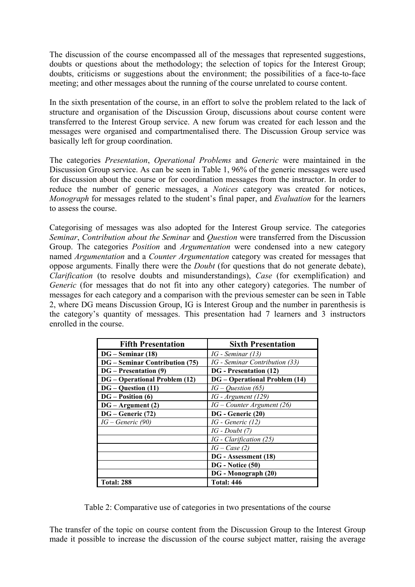The discussion of the course encompassed all of the messages that represented suggestions, doubts or questions about the methodology; the selection of topics for the Interest Group; doubts, criticisms or suggestions about the environment; the possibilities of a face-to-face meeting; and other messages about the running of the course unrelated to course content.

In the sixth presentation of the course, in an effort to solve the problem related to the lack of structure and organisation of the Discussion Group, discussions about course content were transferred to the Interest Group service. A new forum was created for each lesson and the messages were organised and compartmentalised there. The Discussion Group service was basically left for group coordination.

The categories *Presentation*, *Operational Problems* and *Generic* were maintained in the Discussion Group service. As can be seen in Table 1, 96% of the generic messages were used for discussion about the course or for coordination messages from the instructor. In order to reduce the number of generic messages, a *Notices* category was created for notices, *Monograph* for messages related to the student's final paper, and *Evaluation* for the learners to assess the course.

Categorising of messages was also adopted for the Interest Group service. The categories *Seminar*, *Contribution about the Seminar* and *Question* were transferred from the Discussion Group. The categories *Position* and *Argumentation* were condensed into a new category named *Argumentation* and a *Counter Argumentation* category was created for messages that oppose arguments. Finally there were the *Doubt* (for questions that do not generate debate), *Clarification* (to resolve doubts and misunderstandings), *Case* (for exemplification) and *Generic* (for messages that do not fit into any other category) categories. The number of messages for each category and a comparison with the previous semester can be seen in Table 2, where DG means Discussion Group, IG is Interest Group and the number in parenthesis is the category's quantity of messages. This presentation had 7 learners and 3 instructors enrolled in the course.

| <b>Fifth Presentation</b>             | <b>Sixth Presentation</b>            |  |  |  |  |  |  |
|---------------------------------------|--------------------------------------|--|--|--|--|--|--|
| $DG - Seminar (18)$                   | $IG$ - Seminar $(13)$                |  |  |  |  |  |  |
| <b>DG</b> – Seminar Contribution (75) | IG - Seminar Contribution (33)       |  |  |  |  |  |  |
| <b>DG</b> – Presentation (9)          | <b>DG</b> - Presentation (12)        |  |  |  |  |  |  |
| <b>DG</b> – Operational Problem (12)  | <b>DG</b> – Operational Problem (14) |  |  |  |  |  |  |
| DG - Question (11)                    | $IG-Question (65)$                   |  |  |  |  |  |  |
| $DG - Position(6)$                    | $IG$ - Argument (129)                |  |  |  |  |  |  |
| $DG - Argument(2)$                    | IG - Counter Argument (26)           |  |  |  |  |  |  |
| $DG - Generic (72)$                   | DG - Generic (20)                    |  |  |  |  |  |  |
| $IG-Generic (90)$                     | $IG$ - Generic $(12)$                |  |  |  |  |  |  |
|                                       | $IG$ - Doubt $(7)$                   |  |  |  |  |  |  |
|                                       | IG - Clarification (25)              |  |  |  |  |  |  |
|                                       | $IG-Case(2)$                         |  |  |  |  |  |  |
|                                       | DG - Assessment (18)                 |  |  |  |  |  |  |
|                                       | DG - Notice (50)                     |  |  |  |  |  |  |
|                                       | DG - Monograph (20)                  |  |  |  |  |  |  |
| Total: 288                            | Total: 446                           |  |  |  |  |  |  |

Table 2: Comparative use of categories in two presentations of the course

The transfer of the topic on course content from the Discussion Group to the Interest Group made it possible to increase the discussion of the course subject matter, raising the average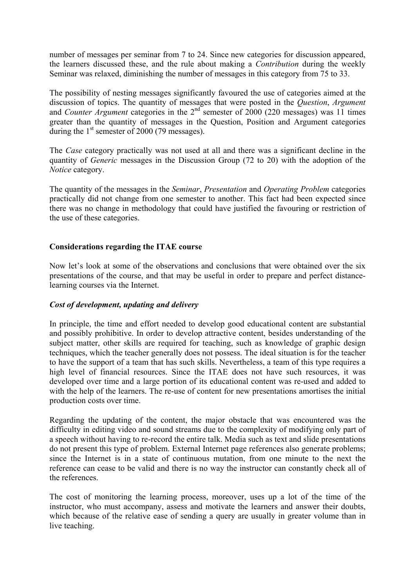number of messages per seminar from 7 to 24. Since new categories for discussion appeared, the learners discussed these, and the rule about making a *Contribution* during the weekly Seminar was relaxed, diminishing the number of messages in this category from 75 to 33.

The possibility of nesting messages significantly favoured the use of categories aimed at the discussion of topics. The quantity of messages that were posted in the *Question*, *Argument* and *Counter Argument* categories in the 2<sup>nd</sup> semester of 2000 (220 messages) was 11 times greater than the quantity of messages in the Question, Position and Argument categories during the  $1<sup>st</sup>$  semester of 2000 (79 messages).

The *Case* category practically was not used at all and there was a significant decline in the quantity of *Generic* messages in the Discussion Group (72 to 20) with the adoption of the *Notice* category.

The quantity of the messages in the *Seminar*, *Presentation* and *Operating Problem* categories practically did not change from one semester to another. This fact had been expected since there was no change in methodology that could have justified the favouring or restriction of the use of these categories.

# **Considerations regarding the ITAE course**

Now let's look at some of the observations and conclusions that were obtained over the six presentations of the course, and that may be useful in order to prepare and perfect distancelearning courses via the Internet.

#### *Cost of development, updating and delivery*

In principle, the time and effort needed to develop good educational content are substantial and possibly prohibitive. In order to develop attractive content, besides understanding of the subject matter, other skills are required for teaching, such as knowledge of graphic design techniques, which the teacher generally does not possess. The ideal situation is for the teacher to have the support of a team that has such skills. Nevertheless, a team of this type requires a high level of financial resources. Since the ITAE does not have such resources, it was developed over time and a large portion of its educational content was re-used and added to with the help of the learners. The re-use of content for new presentations amortises the initial production costs over time.

Regarding the updating of the content, the major obstacle that was encountered was the difficulty in editing video and sound streams due to the complexity of modifying only part of a speech without having to re-record the entire talk. Media such as text and slide presentations do not present this type of problem. External Internet page references also generate problems; since the Internet is in a state of continuous mutation, from one minute to the next the reference can cease to be valid and there is no way the instructor can constantly check all of the references.

The cost of monitoring the learning process, moreover, uses up a lot of the time of the instructor, who must accompany, assess and motivate the learners and answer their doubts, which because of the relative ease of sending a query are usually in greater volume than in live teaching.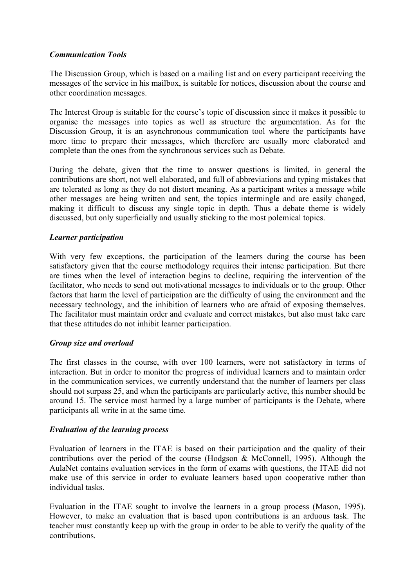# *Communication Tools*

The Discussion Group, which is based on a mailing list and on every participant receiving the messages of the service in his mailbox, is suitable for notices, discussion about the course and other coordination messages.

The Interest Group is suitable for the course's topic of discussion since it makes it possible to organise the messages into topics as well as structure the argumentation. As for the Discussion Group, it is an asynchronous communication tool where the participants have more time to prepare their messages, which therefore are usually more elaborated and complete than the ones from the synchronous services such as Debate.

During the debate, given that the time to answer questions is limited, in general the contributions are short, not well elaborated, and full of abbreviations and typing mistakes that are tolerated as long as they do not distort meaning. As a participant writes a message while other messages are being written and sent, the topics intermingle and are easily changed, making it difficult to discuss any single topic in depth. Thus a debate theme is widely discussed, but only superficially and usually sticking to the most polemical topics.

### *Learner participation*

With very few exceptions, the participation of the learners during the course has been satisfactory given that the course methodology requires their intense participation. But there are times when the level of interaction begins to decline, requiring the intervention of the facilitator, who needs to send out motivational messages to individuals or to the group. Other factors that harm the level of participation are the difficulty of using the environment and the necessary technology, and the inhibition of learners who are afraid of exposing themselves. The facilitator must maintain order and evaluate and correct mistakes, but also must take care that these attitudes do not inhibit learner participation.

#### *Group size and overload*

The first classes in the course, with over 100 learners, were not satisfactory in terms of interaction. But in order to monitor the progress of individual learners and to maintain order in the communication services, we currently understand that the number of learners per class should not surpass 25, and when the participants are particularly active, this number should be around 15. The service most harmed by a large number of participants is the Debate, where participants all write in at the same time.

#### *Evaluation of the learning process*

Evaluation of learners in the ITAE is based on their participation and the quality of their contributions over the period of the course (Hodgson & McConnell, 1995). Although the AulaNet contains evaluation services in the form of exams with questions, the ITAE did not make use of this service in order to evaluate learners based upon cooperative rather than individual tasks.

Evaluation in the ITAE sought to involve the learners in a group process (Mason, 1995). However, to make an evaluation that is based upon contributions is an arduous task. The teacher must constantly keep up with the group in order to be able to verify the quality of the contributions.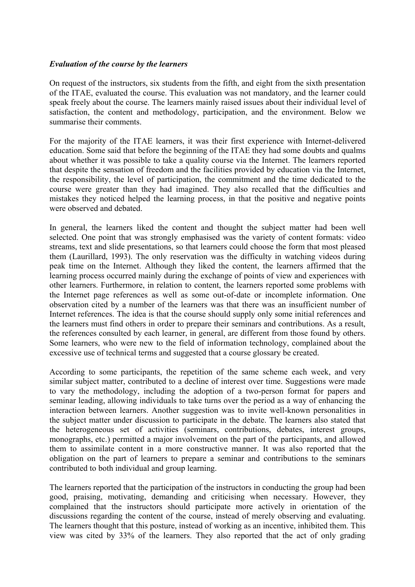#### *Evaluation of the course by the learners*

On request of the instructors, six students from the fifth, and eight from the sixth presentation of the ITAE, evaluated the course. This evaluation was not mandatory, and the learner could speak freely about the course. The learners mainly raised issues about their individual level of satisfaction, the content and methodology, participation, and the environment. Below we summarise their comments.

For the majority of the ITAE learners, it was their first experience with Internet-delivered education. Some said that before the beginning of the ITAE they had some doubts and qualms about whether it was possible to take a quality course via the Internet. The learners reported that despite the sensation of freedom and the facilities provided by education via the Internet, the responsibility, the level of participation, the commitment and the time dedicated to the course were greater than they had imagined. They also recalled that the difficulties and mistakes they noticed helped the learning process, in that the positive and negative points were observed and debated.

In general, the learners liked the content and thought the subject matter had been well selected. One point that was strongly emphasised was the variety of content formats: video streams, text and slide presentations, so that learners could choose the form that most pleased them (Laurillard, 1993). The only reservation was the difficulty in watching videos during peak time on the Internet. Although they liked the content, the learners affirmed that the learning process occurred mainly during the exchange of points of view and experiences with other learners. Furthermore, in relation to content, the learners reported some problems with the Internet page references as well as some out-of-date or incomplete information. One observation cited by a number of the learners was that there was an insufficient number of Internet references. The idea is that the course should supply only some initial references and the learners must find others in order to prepare their seminars and contributions. As a result, the references consulted by each learner, in general, are different from those found by others. Some learners, who were new to the field of information technology, complained about the excessive use of technical terms and suggested that a course glossary be created.

According to some participants, the repetition of the same scheme each week, and very similar subject matter, contributed to a decline of interest over time. Suggestions were made to vary the methodology, including the adoption of a two-person format for papers and seminar leading, allowing individuals to take turns over the period as a way of enhancing the interaction between learners. Another suggestion was to invite well-known personalities in the subject matter under discussion to participate in the debate. The learners also stated that the heterogeneous set of activities (seminars, contributions, debates, interest groups, monographs, etc.) permitted a major involvement on the part of the participants, and allowed them to assimilate content in a more constructive manner. It was also reported that the obligation on the part of learners to prepare a seminar and contributions to the seminars contributed to both individual and group learning.

The learners reported that the participation of the instructors in conducting the group had been good, praising, motivating, demanding and criticising when necessary. However, they complained that the instructors should participate more actively in orientation of the discussions regarding the content of the course, instead of merely observing and evaluating. The learners thought that this posture, instead of working as an incentive, inhibited them. This view was cited by 33% of the learners. They also reported that the act of only grading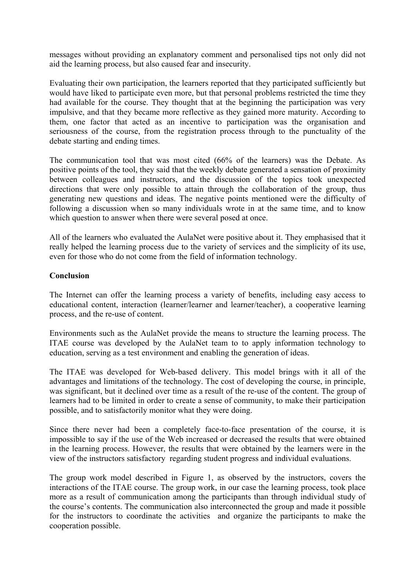messages without providing an explanatory comment and personalised tips not only did not aid the learning process, but also caused fear and insecurity.

Evaluating their own participation, the learners reported that they participated sufficiently but would have liked to participate even more, but that personal problems restricted the time they had available for the course. They thought that at the beginning the participation was very impulsive, and that they became more reflective as they gained more maturity. According to them, one factor that acted as an incentive to participation was the organisation and seriousness of the course, from the registration process through to the punctuality of the debate starting and ending times.

The communication tool that was most cited (66% of the learners) was the Debate. As positive points of the tool, they said that the weekly debate generated a sensation of proximity between colleagues and instructors, and the discussion of the topics took unexpected directions that were only possible to attain through the collaboration of the group, thus generating new questions and ideas. The negative points mentioned were the difficulty of following a discussion when so many individuals wrote in at the same time, and to know which question to answer when there were several posed at once.

All of the learners who evaluated the AulaNet were positive about it. They emphasised that it really helped the learning process due to the variety of services and the simplicity of its use, even for those who do not come from the field of information technology.

### **Conclusion**

The Internet can offer the learning process a variety of benefits, including easy access to educational content, interaction (learner/learner and learner/teacher), a cooperative learning process, and the re-use of content.

Environments such as the AulaNet provide the means to structure the learning process. The ITAE course was developed by the AulaNet team to to apply information technology to education, serving as a test environment and enabling the generation of ideas.

The ITAE was developed for Web-based delivery. This model brings with it all of the advantages and limitations of the technology. The cost of developing the course, in principle, was significant, but it declined over time as a result of the re-use of the content. The group of learners had to be limited in order to create a sense of community, to make their participation possible, and to satisfactorily monitor what they were doing.

Since there never had been a completely face-to-face presentation of the course, it is impossible to say if the use of the Web increased or decreased the results that were obtained in the learning process. However, the results that were obtained by the learners were in the view of the instructors satisfactory regarding student progress and individual evaluations.

The group work model described in Figure 1, as observed by the instructors, covers the interactions of the ITAE course. The group work, in our case the learning process, took place more as a result of communication among the participants than through individual study of the course's contents. The communication also interconnected the group and made it possible for the instructors to coordinate the activities and organize the participants to make the cooperation possible.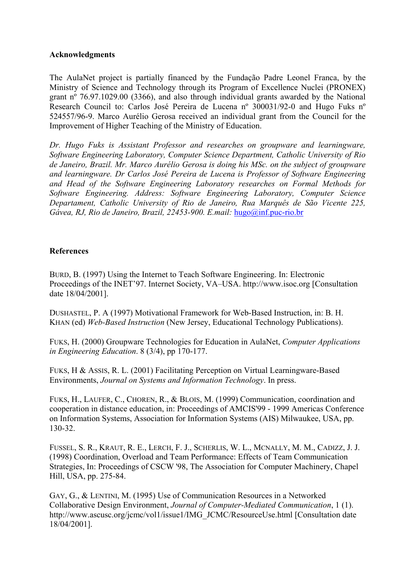### **Acknowledgments**

The AulaNet project is partially financed by the Fundação Padre Leonel Franca, by the Ministry of Science and Technology through its Program of Excellence Nuclei (PRONEX) grant nº 76.97.1029.00 (3366), and also through individual grants awarded by the National Research Council to: Carlos José Pereira de Lucena nº 300031/92-0 and Hugo Fuks nº 524557/96-9. Marco Aurélio Gerosa received an individual grant from the Council for the Improvement of Higher Teaching of the Ministry of Education.

*Dr. Hugo Fuks is Assistant Professor and researches on groupware and learningware, Software Engineering Laboratory, Computer Science Department, Catholic University of Rio de Janeiro, Brazil. Mr. Marco Aurélio Gerosa is doing his MSc. on the subject of groupware and learningware. Dr Carlos José Pereira de Lucena is Professor of Software Engineering and Head of the Software Engineering Laboratory researches on Formal Methods for Software Engineering. Address: Software Engineering Laboratory, Computer Science Departament, Catholic University of Rio de Janeiro, Rua Marquês de São Vicente 225, Gávea, RJ, Rio de Janeiro, Brazil, 22453-900. E.mail:* [hugo@inf.puc-rio.br](mailto:hugo@inf.puc-rio.br)

# **References**

BURD, B. (1997) Using the Internet to Teach Software Engineering. In: Electronic Proceedings of the INET'97. Internet Society, VA–USA. http://www.isoc.org [Consultation date 18/04/2001].

DUSHASTEL, P. A (1997) Motivational Framework for Web-Based Instruction, in: B. H. KHAN (ed) *Web-Based Instruction* (New Jersey, Educational Technology Publications).

FUKS, H. (2000) Groupware Technologies for Education in AulaNet, *Computer Applications in Engineering Education*. 8 (3/4), pp 170-177.

FUKS, H & ASSIS, R. L. (2001) Facilitating Perception on Virtual Learningware-Based Environments, *Journal on Systems and Information Technology*. In press.

FUKS, H., LAUFER, C., CHOREN, R., & BLOIS, M. (1999) Communication, coordination and cooperation in distance education, in: Proceedings of AMCIS'99 - 1999 Americas Conference on Information Systems, Association for Information Systems (AIS) Milwaukee, USA, pp. 130-32.

FUSSEL, S. R., KRAUT, R. E., LERCH, F. J., SCHERLIS, W. L., MCNALLY, M. M., CADIZZ, J. J. (1998) Coordination, Overload and Team Performance: Effects of Team Communication Strategies, In: Proceedings of CSCW '98, The Association for Computer Machinery, Chapel Hill, USA, pp. 275-84.

GAY, G., & LENTINI, M. (1995) Use of Communication Resources in a Networked Collaborative Design Environment, *Journal of Computer-Mediated Communication*, 1 (1). [http://www.ascusc.org/jcmc/vol1/issue1/IMG\\_JCMC/ResourceUse.html](http://www.ascusc.org/jcmc/vol1/issue1/IMG_JCMC/ResourceUse.html) [Consultation date 18/04/2001].